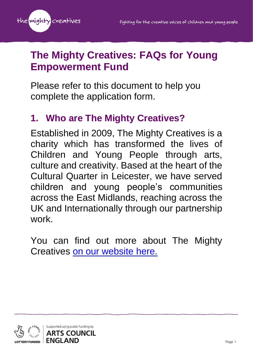

# **The Mighty Creatives: FAQs for Young Empowerment Fund**

Please refer to this document to help you complete the application form.

# **1. Who are The Mighty Creatives?**

Established in 2009, The Mighty Creatives is a charity which has transformed the lives of Children and Young People through arts, culture and creativity. Based at the heart of the Cultural Quarter in Leicester, we have served children and young people's communities across the East Midlands, reaching across the UK and Internationally through our partnership work.

You can find out more about The Mighty Creatives [on our website here.](https://themightycreatives.com/)

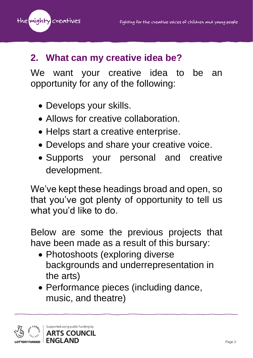the mighty creatives

### **2. What can my creative idea be?**

We want your creative idea to be an opportunity for any of the following:

- Develops your skills.
- Allows for creative collaboration.
- Helps start a creative enterprise.
- Develops and share your creative voice.
- Supports your personal and creative development.

We've kept these headings broad and open, so that you've got plenty of opportunity to tell us what you'd like to do.

Below are some the previous projects that have been made as a result of this bursary:

- Photoshoots (exploring diverse backgrounds and underrepresentation in the arts)
- Performance pieces (including dance, music, and theatre)

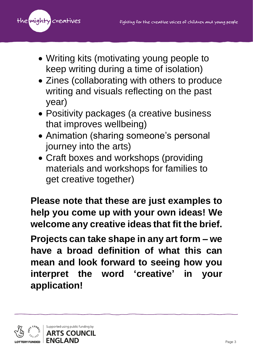

- Writing kits (motivating young people to keep writing during a time of isolation)
- Zines (collaborating with others to produce writing and visuals reflecting on the past year)
- Positivity packages (a creative business that improves wellbeing)
- Animation (sharing someone's personal journey into the arts)
- Craft boxes and workshops (providing materials and workshops for families to get creative together)

**Please note that these are just examples to help you come up with your own ideas! We welcome any creative ideas that fit the brief.**

**Projects can take shape in any art form – we have a broad definition of what this can mean and look forward to seeing how you interpret the word 'creative' in your application!**

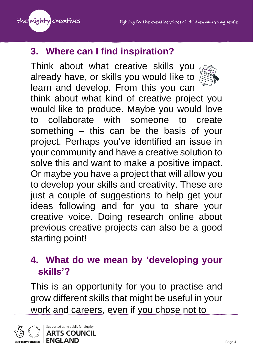

### **3. Where can I find inspiration?**

Think about what creative skills you already have, or skills you would like to learn and develop. From this you can think about what kind of creative project you would like to produce. Maybe you would love to collaborate with someone to create something – this can be the basis of your project. Perhaps you've identified an issue in your community and have a creative solution to solve this and want to make a positive impact. Or maybe you have a project that will allow you to develop your skills and creativity. These are just a couple of suggestions to help get your ideas following and for you to share your creative voice. Doing research online about previous creative projects can also be a good starting point!

### **4. What do we mean by 'developing your skills'?**

This is an opportunity for you to practise and grow different skills that might be useful in your work and careers, even if you chose not to

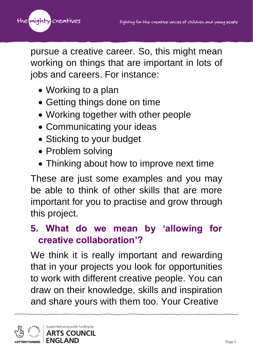

pursue a creative career. So, this might mean working on things that are important in lots of jobs and careers. For instance:

- Working to a plan
- Getting things done on time
- Working together with other people
- Communicating your ideas
- Sticking to your budget
- Problem solving
- Thinking about how to improve next time

These are just some examples and you may be able to think of other skills that are more important for you to practise and grow through this project.

### **5. What do we mean by 'allowing for creative collaboration'?**

We think it is really important and rewarding that in your projects you look for opportunities to work with different creative people. You can draw on their knowledge, skills and inspiration and share yours with them too. Your Creative

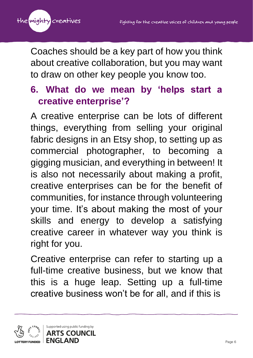

Coaches should be a key part of how you think about creative collaboration, but you may want to draw on other key people you know too.

### **6. What do we mean by 'helps start a creative enterprise'?**

A creative enterprise can be lots of different things, everything from selling your original fabric designs in an Etsy shop, to setting up as commercial photographer, to becoming a gigging musician, and everything in between! It is also not necessarily about making a profit, creative enterprises can be for the benefit of communities, for instance through volunteering your time. It's about making the most of your skills and energy to develop a satisfying creative career in whatever way you think is right for you.

Creative enterprise can refer to starting up a full-time creative business, but we know that this is a huge leap. Setting up a full-time creative business won't be for all, and if this is

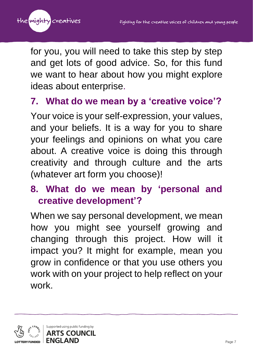

for you, you will need to take this step by step and get lots of good advice. So, for this fund we want to hear about how you might explore ideas about enterprise.

## **7. What do we mean by a 'creative voice'?**

Your voice is your self-expression, your values, and your beliefs. It is a way for you to share your feelings and opinions on what you care about. A creative voice is doing this through creativity and through culture and the arts (whatever art form you choose)!

# **8. What do we mean by 'personal and creative development'?**

When we say personal development, we mean how you might see yourself growing and changing through this project. How will it impact you? It might for example, mean you grow in confidence or that you use others you work with on your project to help reflect on your work.

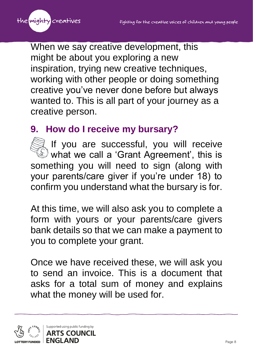

When we say creative development, this might be about you exploring a new inspiration, trying new creative techniques, working with other people or doing something creative you've never done before but always wanted to. This is all part of your journey as a creative person.

## **9. How do I receive my bursary?**

If you are successful, you will receive  $\mathbb{S}$  what we call a 'Grant Agreement', this is something you will need to sign (along with your parents/care giver if you're under 18) to confirm you understand what the bursary is for.

At this time, we will also ask you to complete a form with yours or your parents/care givers bank details so that we can make a payment to you to complete your grant.

Once we have received these, we will ask you to send an invoice. This is a document that asks for a total sum of money and explains what the money will be used for.

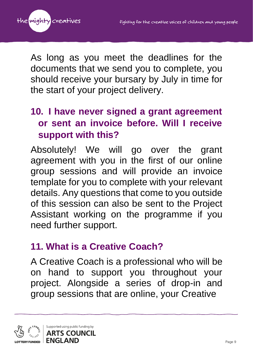

As long as you meet the deadlines for the documents that we send you to complete, you should receive your bursary by July in time for the start of your project delivery.

# **10. I have never signed a grant agreement or sent an invoice before. Will I receive support with this?**

Absolutely! We will go over the grant agreement with you in the first of our online group sessions and will provide an invoice template for you to complete with your relevant details. Any questions that come to you outside of this session can also be sent to the Project Assistant working on the programme if you need further support.

#### **11. What is a Creative Coach?**

A Creative Coach is a professional who will be on hand to support you throughout your project. Alongside a series of drop-in and group sessions that are online, your Creative

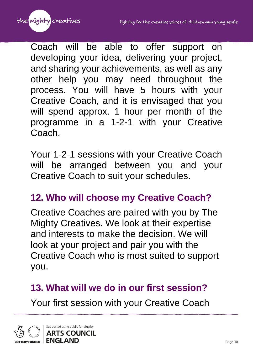

Coach will be able to offer support on developing your idea, delivering your project, and sharing your achievements, as well as any other help you may need throughout the process. You will have 5 hours with your Creative Coach, and it is envisaged that you will spend approx. 1 hour per month of the programme in a 1-2-1 with your Creative Coach.

Your 1-2-1 sessions with your Creative Coach will be arranged between you and your Creative Coach to suit your schedules.

#### **12. Who will choose my Creative Coach?**

Creative Coaches are paired with you by The Mighty Creatives. We look at their expertise and interests to make the decision. We will look at your project and pair you with the Creative Coach who is most suited to support you.

## **13. What will we do in our first session?**

Your first session with your Creative Coach

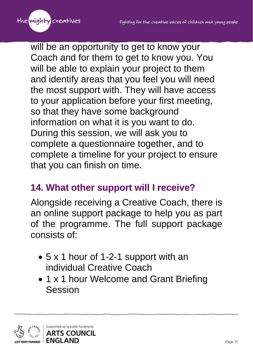

will be an opportunity to get to know your Coach and for them to get to know you. You will be able to explain your project to them and identify areas that you feel you will need the most support with. They will have access to your application before your first meeting, so that they have some background information on what it is you want to do. During this session, we will ask you to complete a questionnaire together, and to complete a timeline for your project to ensure that you can finish on time.

### **14. What other support will I receive?**

Alongside receiving a Creative Coach, there is an online support package to help you as part of the programme. The full support package consists of:

- 5 x 1 hour of 1-2-1 support with an individual Creative Coach
- 1 x 1 hour Welcome and Grant Briefing Session

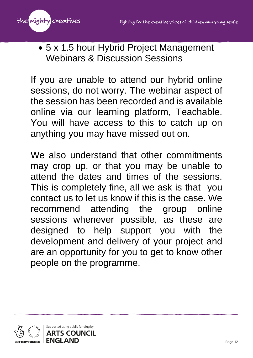

• 5 x 1.5 hour Hybrid Project Management Webinars & Discussion Sessions

If you are unable to attend our hybrid online sessions, do not worry. The webinar aspect of the session has been recorded and is available online via our learning platform, Teachable. You will have access to this to catch up on anything you may have missed out on.

We also understand that other commitments may crop up, or that you may be unable to attend the dates and times of the sessions. This is completely fine, all we ask is that you contact us to let us know if this is the case. We recommend attending the group online sessions whenever possible, as these are designed to help support you with the development and delivery of your project and are an opportunity for you to get to know other people on the programme.

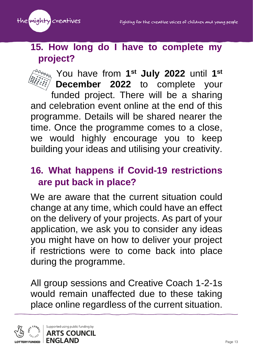

#### **15. How long do I have to complete my project?**

You have from 1<sup>st</sup> July 2022 until 1<sup>st</sup> **December 2022** to complete your funded project. There will be a sharing and celebration event online at the end of this programme. Details will be shared nearer the time. Once the programme comes to a close, we would highly encourage you to keep building your ideas and utilising your creativity.

### **16. What happens if Covid-19 restrictions are put back in place?**

We are aware that the current situation could change at any time, which could have an effect on the delivery of your projects. As part of your application, we ask you to consider any ideas you might have on how to deliver your project if restrictions were to come back into place during the programme.

All group sessions and Creative Coach 1-2-1s would remain unaffected due to these taking place online regardless of the current situation.

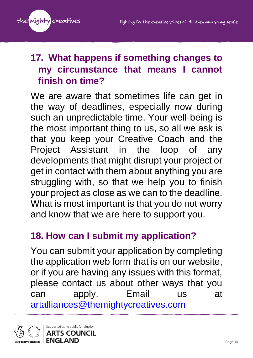

# **17. What happens if something changes to my circumstance that means I cannot finish on time?**

We are aware that sometimes life can get in the way of deadlines, especially now during such an unpredictable time. Your well-being is the most important thing to us, so all we ask is that you keep your Creative Coach and the Project Assistant in the loop of any developments that might disrupt your project or get in contact with them about anything you are struggling with, so that we help you to finish your project as close as we can to the deadline. What is most important is that you do not worry and know that we are here to support you.

#### **18. How can I submit my application?**

You can submit your application by completing the application web form that is on our website, or if you are having any issues with this format, please contact us about other ways that you can apply. Email us at [artalliances@themightycreatives.com](mailto:artalliances@themightycreatives.com)

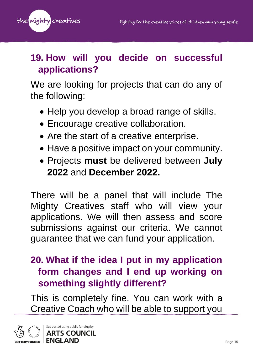

# **19. How will you decide on successful applications?**

We are looking for projects that can do any of the following:

- Help you develop a broad range of skills.
- Encourage creative collaboration.
- Are the start of a creative enterprise.
- Have a positive impact on your community.
- Projects **must** be delivered between **July 2022** and **December 2022.**

There will be a panel that will include The Mighty Creatives staff who will view your applications. We will then assess and score submissions against our criteria. We cannot guarantee that we can fund your application.

# **20. What if the idea I put in my application form changes and I end up working on something slightly different?**

This is completely fine. You can work with a Creative Coach who will be able to support you

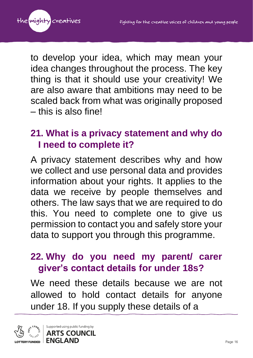

to develop your idea, which may mean your idea changes throughout the process. The key thing is that it should use your creativity! We are also aware that ambitions may need to be scaled back from what was originally proposed – this is also fine!

## **21. What is a privacy statement and why do I need to complete it?**

A privacy statement describes why and how we collect and use personal data and provides information about your rights. It applies to the data we receive by people themselves and others. The law says that we are required to do this. You need to complete one to give us permission to contact you and safely store your data to support you through this programme.

## **22. Why do you need my parent/ carer giver's contact details for under 18s?**

We need these details because we are not allowed to hold contact details for anyone under 18. If you supply these details of a

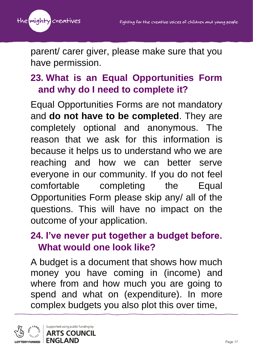

parent/ carer giver, please make sure that you have permission.

# **23. What is an Equal Opportunities Form and why do I need to complete it?**

Equal Opportunities Forms are not mandatory and **do not have to be completed**. They are completely optional and anonymous. The reason that we ask for this information is because it helps us to understand who we are reaching and how we can better serve everyone in our community. If you do not feel comfortable completing the Equal Opportunities Form please skip any/ all of the questions. This will have no impact on the outcome of your application.

## **24. I've never put together a budget before. What would one look like?**

A budget is a document that shows how much money you have coming in (income) and where from and how much you are going to spend and what on (expenditure). In more complex budgets you also plot this over time,

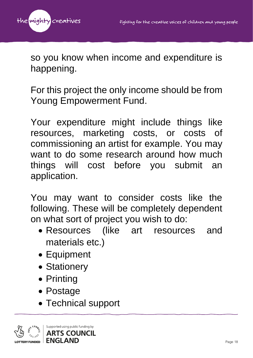

so you know when income and expenditure is happening.

For this project the only income should be from Young Empowerment Fund.

Your expenditure might include things like resources, marketing costs, or costs of commissioning an artist for example. You may want to do some research around how much things will cost before you submit an application.

You may want to consider costs like the following. These will be completely dependent on what sort of project you wish to do:

- Resources (like art resources and materials etc.)
- Equipment
- Stationery
- Printing
- Postage
- Technical support

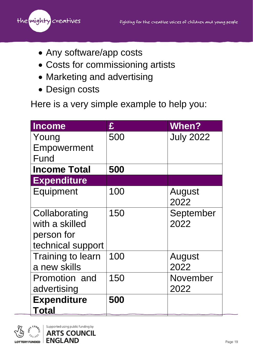the mighty creatives

- Any software/app costs
- Costs for commissioning artists
- Marketing and advertising
- Design costs

Here is a very simple example to help you:

| <b>Income</b>            | £   | <b>When?</b>     |
|--------------------------|-----|------------------|
| Young                    | 500 | <b>July 2022</b> |
| Empowerment              |     |                  |
| Fund                     |     |                  |
| <b>Income Total</b>      | 500 |                  |
| <b>Expenditure</b>       |     |                  |
| Equipment                | 100 | August           |
|                          |     | 2022             |
| Collaborating            | 150 | September        |
| with a skilled           |     | 2022             |
| person for               |     |                  |
| technical support        |     |                  |
| <b>Training to learn</b> | 100 | August           |
| a new skills             |     | 2022             |
| Promotion and            | 150 | November         |
| advertising              |     | 2022             |
| <b>Expenditure</b>       | 500 |                  |
| <b>Total</b>             |     |                  |

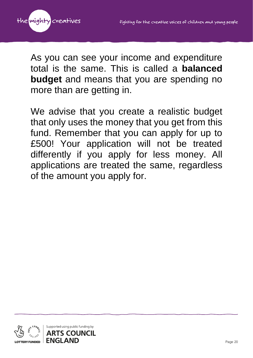

As you can see your income and expenditure total is the same. This is called a **balanced budget** and means that you are spending no more than are getting in.

We advise that you create a realistic budget that only uses the money that you get from this fund. Remember that you can apply for up to £500! Your application will not be treated differently if you apply for less money. All applications are treated the same, regardless of the amount you apply for.

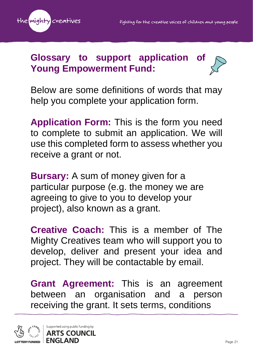

#### **Glossary to support application Young Empowerment Fund:**

Below are some definitions of words that may help you complete your application form.

**Application Form:** This is the form you need to complete to submit an application. We will use this completed form to assess whether you receive a grant or not.

**Bursary:** A sum of money given for a particular purpose (e.g. the money we are agreeing to give to you to develop your project), also known as a grant.

**Creative Coach:** This is a member of The Mighty Creatives team who will support you to develop, deliver and present your idea and project. They will be contactable by email.

**Grant Agreement:** This is an agreement between an organisation and a person receiving the grant. It sets terms, conditions